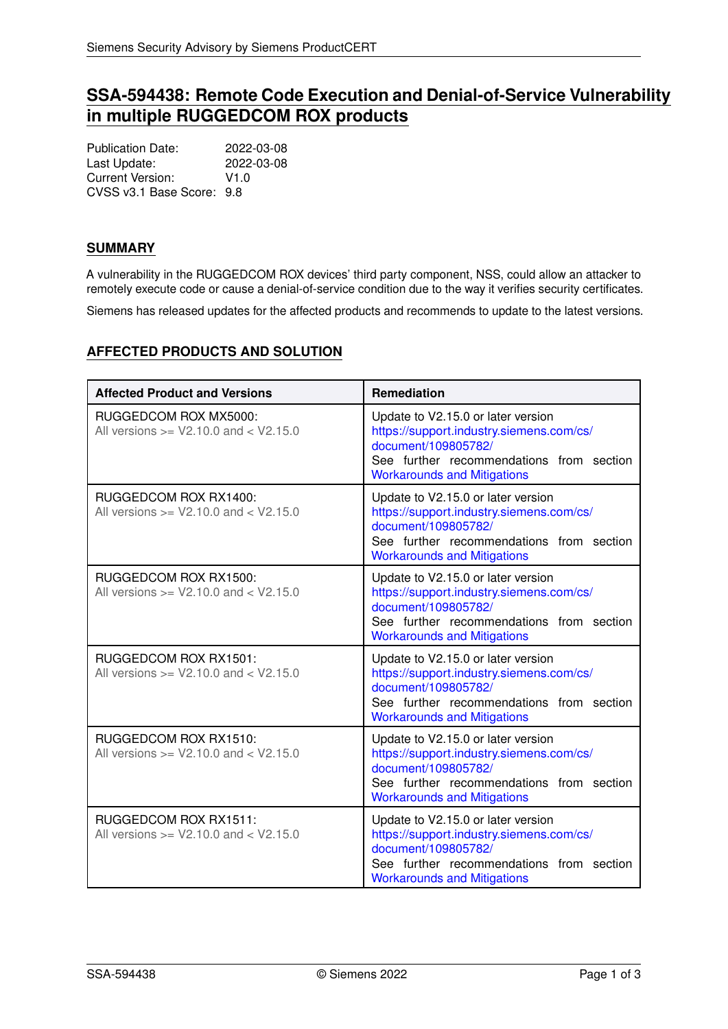# **SSA-594438: Remote Code Execution and Denial-of-Service Vulnerability in multiple RUGGEDCOM ROX products**

Publication Date: 2022-03-08<br>Last Update: 2022-03-08 Last Update: Current Version: V1.0 CVSS v3.1 Base Score: 9.8

## **SUMMARY**

A vulnerability in the RUGGEDCOM ROX devices' third party component, NSS, could allow an attacker to remotely execute code or cause a denial-of-service condition due to the way it verifies security certificates.

Siemens has released updates for the affected products and recommends to update to the latest versions.

| <b>AFFECTED PRODUCTS AND SOLUTION</b> |  |
|---------------------------------------|--|
|---------------------------------------|--|

| <b>Affected Product and Versions</b>                                | Remediation                                                                                                                                                                             |
|---------------------------------------------------------------------|-----------------------------------------------------------------------------------------------------------------------------------------------------------------------------------------|
| RUGGEDCOM ROX MX5000:<br>All versions $>=$ V2.10.0 and $<$ V2.15.0  | Update to V2.15.0 or later version<br>https://support.industry.siemens.com/cs/<br>document/109805782/<br>See further recommendations from section<br><b>Workarounds and Mitigations</b> |
| RUGGEDCOM ROX RX1400:<br>All versions $>=$ V2.10.0 and $<$ V2.15.0  | Update to V2.15.0 or later version<br>https://support.industry.siemens.com/cs/<br>document/109805782/<br>See further recommendations from section<br><b>Workarounds and Mitigations</b> |
| RUGGEDCOM ROX RX1500:<br>All versions $>=$ V2.10.0 and $<$ V2.15.0  | Update to V2.15.0 or later version<br>https://support.industry.siemens.com/cs/<br>document/109805782/<br>See further recommendations from section<br><b>Workarounds and Mitigations</b> |
| RUGGEDCOM ROX RX1501:<br>All versions $> = V2.10.0$ and $< V2.15.0$ | Update to V2.15.0 or later version<br>https://support.industry.siemens.com/cs/<br>document/109805782/<br>See further recommendations from section<br><b>Workarounds and Mitigations</b> |
| RUGGEDCOM ROX RX1510:<br>All versions $>=$ V2.10.0 and $<$ V2.15.0  | Update to V2.15.0 or later version<br>https://support.industry.siemens.com/cs/<br>document/109805782/<br>See further recommendations from section<br><b>Workarounds and Mitigations</b> |
| RUGGEDCOM ROX RX1511:<br>All versions $>=$ V2.10.0 and $<$ V2.15.0  | Update to V2.15.0 or later version<br>https://support.industry.siemens.com/cs/<br>document/109805782/<br>See further recommendations from section<br><b>Workarounds and Mitigations</b> |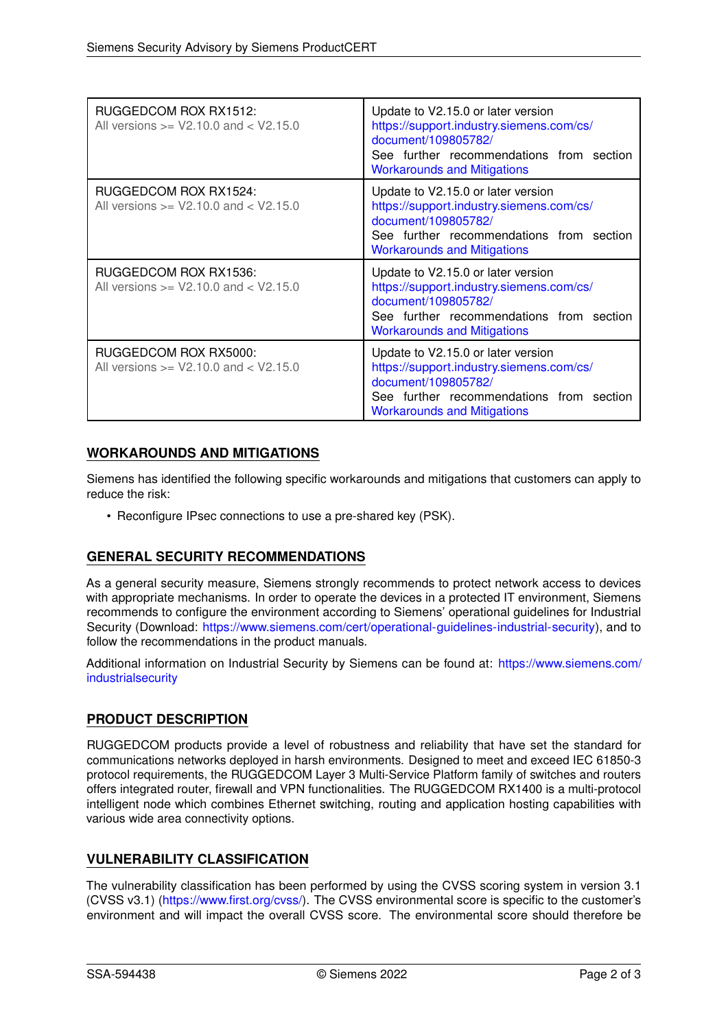| RUGGEDCOM ROX RX1512:<br>All versions $>=$ V2.10.0 and $<$ V2.15.0 | Update to V2.15.0 or later version<br>https://support.industry.siemens.com/cs/<br>document/109805782/<br>See further recommendations from section<br><b>Workarounds and Mitigations</b> |
|--------------------------------------------------------------------|-----------------------------------------------------------------------------------------------------------------------------------------------------------------------------------------|
| RUGGEDCOM ROX RX1524:<br>All versions $>=$ V2.10.0 and $<$ V2.15.0 | Update to V2.15.0 or later version<br>https://support.industry.siemens.com/cs/<br>document/109805782/<br>See further recommendations from section<br><b>Workarounds and Mitigations</b> |
| RUGGEDCOM ROX RX1536:<br>All versions $>=$ V2.10.0 and $<$ V2.15.0 | Update to V2.15.0 or later version<br>https://support.industry.siemens.com/cs/<br>document/109805782/<br>See further recommendations from section<br><b>Workarounds and Mitigations</b> |
| RUGGEDCOM ROX RX5000:<br>All versions $>=$ V2.10.0 and $<$ V2.15.0 | Update to V2.15.0 or later version<br>https://support.industry.siemens.com/cs/<br>document/109805782/<br>See further recommendations from section<br><b>Workarounds and Mitigations</b> |

#### <span id="page-1-0"></span>**WORKAROUNDS AND MITIGATIONS**

Siemens has identified the following specific workarounds and mitigations that customers can apply to reduce the risk:

• Reconfigure IPsec connections to use a pre-shared key (PSK).

## **GENERAL SECURITY RECOMMENDATIONS**

As a general security measure, Siemens strongly recommends to protect network access to devices with appropriate mechanisms. In order to operate the devices in a protected IT environment, Siemens recommends to configure the environment according to Siemens' operational guidelines for Industrial Security (Download: [https://www.siemens.com/cert/operational-guidelines-industrial-security\)](https://www.siemens.com/cert/operational-guidelines-industrial-security), and to follow the recommendations in the product manuals.

Additional information on Industrial Security by Siemens can be found at: [https://www.siemens.com/](https://www.siemens.com/industrialsecurity) [industrialsecurity](https://www.siemens.com/industrialsecurity)

## **PRODUCT DESCRIPTION**

RUGGEDCOM products provide a level of robustness and reliability that have set the standard for communications networks deployed in harsh environments. Designed to meet and exceed IEC 61850-3 protocol requirements, the RUGGEDCOM Layer 3 Multi-Service Platform family of switches and routers offers integrated router, firewall and VPN functionalities. The RUGGEDCOM RX1400 is a multi-protocol intelligent node which combines Ethernet switching, routing and application hosting capabilities with various wide area connectivity options.

## **VULNERABILITY CLASSIFICATION**

The vulnerability classification has been performed by using the CVSS scoring system in version 3.1 (CVSS v3.1) [\(https://www.first.org/cvss/\)](https://www.first.org/cvss/). The CVSS environmental score is specific to the customer's environment and will impact the overall CVSS score. The environmental score should therefore be